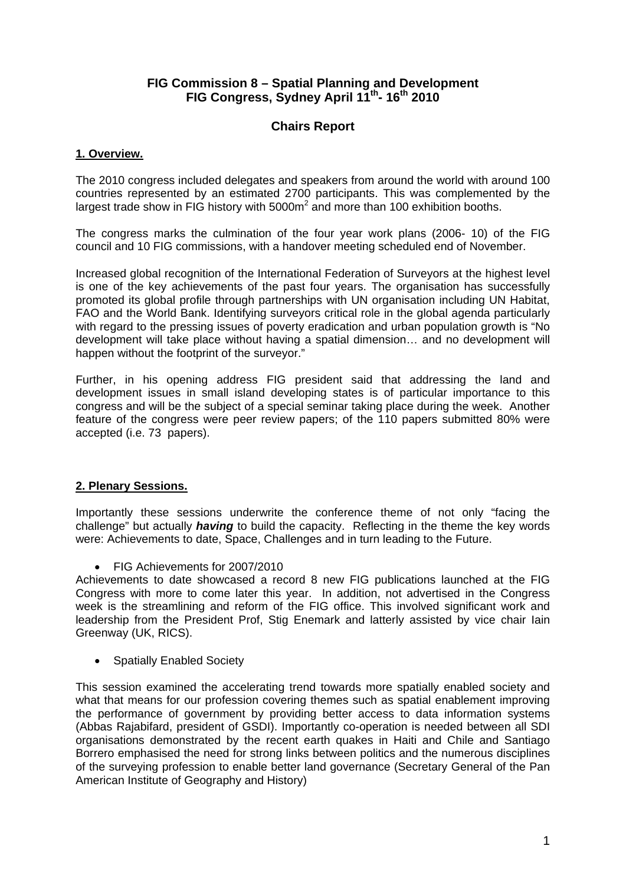## **FIG Commission 8 – Spatial Planning and Development FIG Congress, Sydney April 11th- 16th 2010**

# **Chairs Report**

### **1. Overview.**

The 2010 congress included delegates and speakers from around the world with around 100 countries represented by an estimated 2700 participants. This was complemented by the largest trade show in FIG history with  $5000m^2$  and more than 100 exhibition booths.

The congress marks the culmination of the four year work plans (2006- 10) of the FIG council and 10 FIG commissions, with a handover meeting scheduled end of November.

Increased global recognition of the International Federation of Surveyors at the highest level is one of the key achievements of the past four years. The organisation has successfully promoted its global profile through partnerships with UN organisation including UN Habitat, FAO and the World Bank. Identifying surveyors critical role in the global agenda particularly with regard to the pressing issues of poverty eradication and urban population growth is "No development will take place without having a spatial dimension… and no development will happen without the footprint of the surveyor."

Further, in his opening address FIG president said that addressing the land and development issues in small island developing states is of particular importance to this congress and will be the subject of a special seminar taking place during the week. Another feature of the congress were peer review papers; of the 110 papers submitted 80% were accepted (i.e. 73 papers).

#### **2. Plenary Sessions.**

Importantly these sessions underwrite the conference theme of not only "facing the challenge" but actually *having* to build the capacity. Reflecting in the theme the key words were: Achievements to date, Space, Challenges and in turn leading to the Future.

• FIG Achievements for 2007/2010

Achievements to date showcased a record 8 new FIG publications launched at the FIG Congress with more to come later this year. In addition, not advertised in the Congress week is the streamlining and reform of the FIG office. This involved significant work and leadership from the President Prof, Stig Enemark and latterly assisted by vice chair Iain Greenway (UK, RICS).

• Spatially Enabled Society

This session examined the accelerating trend towards more spatially enabled society and what that means for our profession covering themes such as spatial enablement improving the performance of government by providing better access to data information systems (Abbas Rajabifard, president of GSDI). Importantly co-operation is needed between all SDI organisations demonstrated by the recent earth quakes in Haiti and Chile and Santiago Borrero emphasised the need for strong links between politics and the numerous disciplines of the surveying profession to enable better land governance (Secretary General of the Pan American Institute of Geography and History)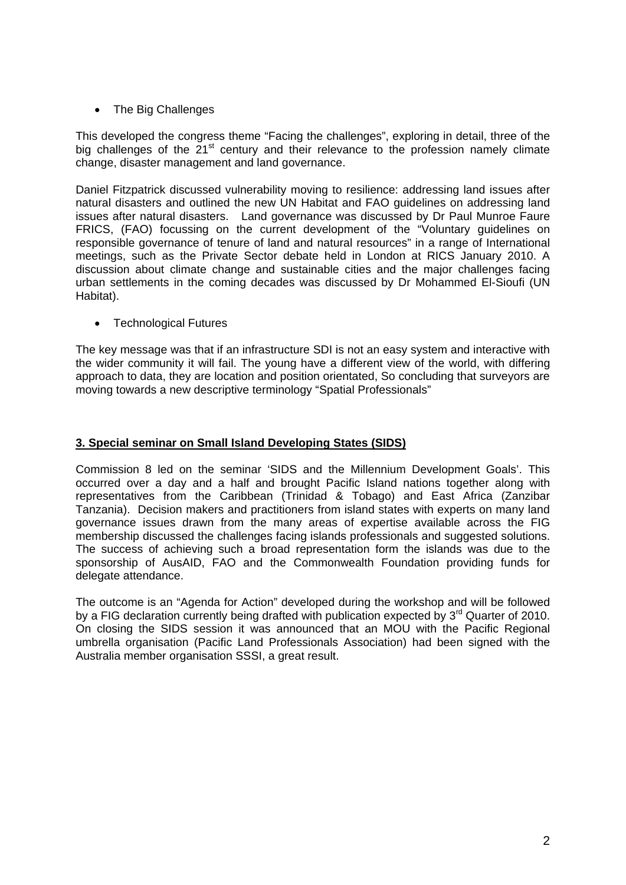• The Big Challenges

This developed the congress theme "Facing the challenges", exploring in detail, three of the big challenges of the  $21<sup>st</sup>$  century and their relevance to the profession namely climate change, disaster management and land governance.

Daniel Fitzpatrick discussed vulnerability moving to resilience: addressing land issues after natural disasters and outlined the new UN Habitat and FAO guidelines on addressing land issues after natural disasters. Land governance was discussed by Dr Paul Munroe Faure FRICS, (FAO) focussing on the current development of the "Voluntary guidelines on responsible governance of tenure of land and natural resources" in a range of International meetings, such as the Private Sector debate held in London at RICS January 2010. A discussion about climate change and sustainable cities and the major challenges facing urban settlements in the coming decades was discussed by Dr Mohammed El-Sioufi (UN Habitat).

• Technological Futures

The key message was that if an infrastructure SDI is not an easy system and interactive with the wider community it will fail. The young have a different view of the world, with differing approach to data, they are location and position orientated, So concluding that surveyors are moving towards a new descriptive terminology "Spatial Professionals"

#### **3. Special seminar on Small Island Developing States (SIDS)**

Commission 8 led on the seminar 'SIDS and the Millennium Development Goals'. This occurred over a day and a half and brought Pacific Island nations together along with representatives from the Caribbean (Trinidad & Tobago) and East Africa (Zanzibar Tanzania). Decision makers and practitioners from island states with experts on many land governance issues drawn from the many areas of expertise available across the FIG membership discussed the challenges facing islands professionals and suggested solutions. The success of achieving such a broad representation form the islands was due to the sponsorship of AusAID, FAO and the Commonwealth Foundation providing funds for delegate attendance.

The outcome is an "Agenda for Action" developed during the workshop and will be followed by a FIG declaration currently being drafted with publication expected by 3<sup>rd</sup> Quarter of 2010. On closing the SIDS session it was announced that an MOU with the Pacific Regional umbrella organisation (Pacific Land Professionals Association) had been signed with the Australia member organisation SSSI, a great result.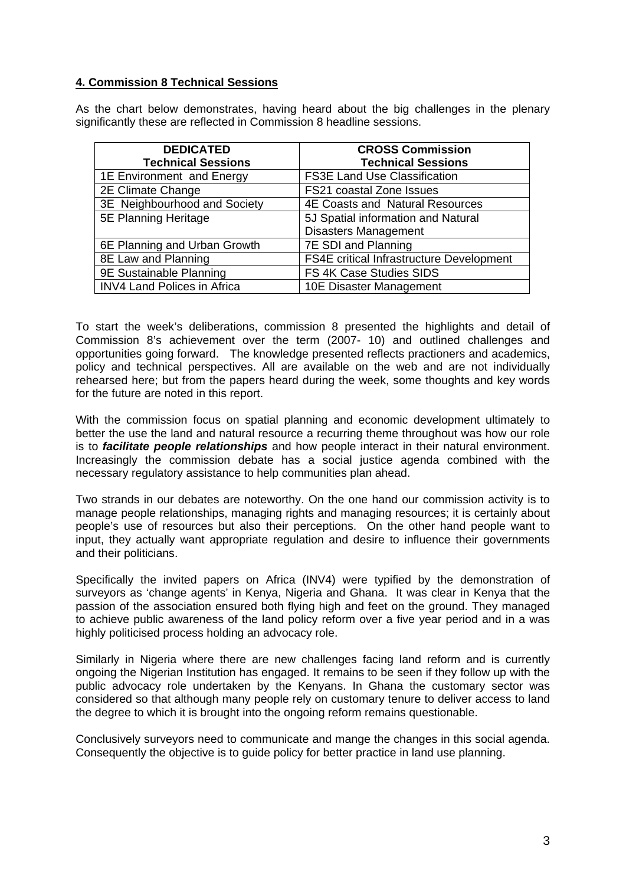#### **4. Commission 8 Technical Sessions**

As the chart below demonstrates, having heard about the big challenges in the plenary significantly these are reflected in Commission 8 headline sessions.

| <b>DEDICATED</b>                   | <b>CROSS Commission</b>                         |
|------------------------------------|-------------------------------------------------|
| <b>Technical Sessions</b>          | <b>Technical Sessions</b>                       |
| 1E Environment and Energy          | <b>FS3E Land Use Classification</b>             |
| 2E Climate Change                  | <b>FS21 coastal Zone Issues</b>                 |
| 3E Neighbourhood and Society       | <b>4E Coasts and Natural Resources</b>          |
| 5E Planning Heritage               | 5J Spatial information and Natural              |
|                                    | <b>Disasters Management</b>                     |
| 6E Planning and Urban Growth       | 7E SDI and Planning                             |
| 8E Law and Planning                | <b>FS4E critical Infrastructure Development</b> |
| 9E Sustainable Planning            | FS 4K Case Studies SIDS                         |
| <b>INV4 Land Polices in Africa</b> | 10E Disaster Management                         |

To start the week's deliberations, commission 8 presented the highlights and detail of Commission 8's achievement over the term (2007- 10) and outlined challenges and opportunities going forward. The knowledge presented reflects practioners and academics, policy and technical perspectives. All are available on the web and are not individually rehearsed here; but from the papers heard during the week, some thoughts and key words for the future are noted in this report.

With the commission focus on spatial planning and economic development ultimately to better the use the land and natural resource a recurring theme throughout was how our role is to *facilitate people relationships* and how people interact in their natural environment. Increasingly the commission debate has a social justice agenda combined with the necessary regulatory assistance to help communities plan ahead.

Two strands in our debates are noteworthy. On the one hand our commission activity is to manage people relationships, managing rights and managing resources; it is certainly about people's use of resources but also their perceptions. On the other hand people want to input, they actually want appropriate regulation and desire to influence their governments and their politicians.

Specifically the invited papers on Africa (INV4) were typified by the demonstration of surveyors as 'change agents' in Kenya, Nigeria and Ghana. It was clear in Kenya that the passion of the association ensured both flying high and feet on the ground. They managed to achieve public awareness of the land policy reform over a five year period and in a was highly politicised process holding an advocacy role.

Similarly in Nigeria where there are new challenges facing land reform and is currently ongoing the Nigerian Institution has engaged. It remains to be seen if they follow up with the public advocacy role undertaken by the Kenyans. In Ghana the customary sector was considered so that although many people rely on customary tenure to deliver access to land the degree to which it is brought into the ongoing reform remains questionable.

Conclusively surveyors need to communicate and mange the changes in this social agenda. Consequently the objective is to guide policy for better practice in land use planning.